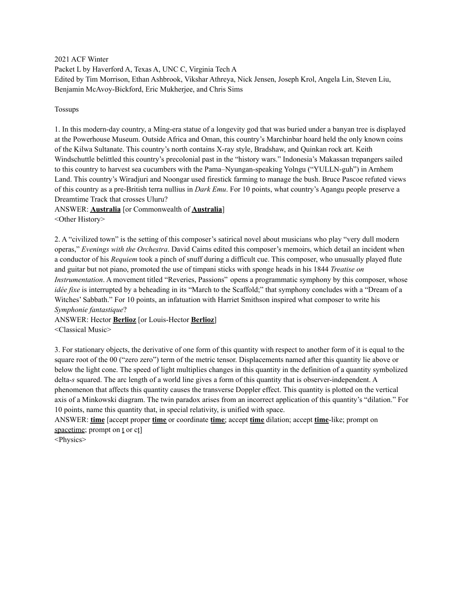2021 ACF Winter Packet L by Haverford A, Texas A, UNC C, Virginia Tech A Edited by Tim Morrison, Ethan Ashbrook, Vikshar Athreya, Nick Jensen, Joseph Krol, Angela Lin, Steven Liu, Benjamin McAvoy-Bickford, Eric Mukherjee, and Chris Sims

#### Tossups

1. In this modern-day country, a Míng-era statue of a longevity god that was buried under a banyan tree is displayed at the Powerhouse Museum. Outside Africa and Oman, this country's Marchinbar hoard held the only known coins of the Kilwa Sultanate. This country's north contains X-ray style, Bradshaw, and Quinkan rock art. Keith Windschuttle belittled this country's precolonial past in the "history wars." Indonesia's Makassan trepangers sailed to this country to harvest sea cucumbers with the Pama–Nyungan-speaking Yolngu ("YULLN-guh") in Arnhem Land. This country's Wiradjuri and Noongar used firestick farming to manage the bush. Bruce Pascoe refuted views of this country as a pre-British terra nullius in *Dark Emu*. For 10 points, what country's Aṉangu people preserve a Dreamtime Track that crosses Uluru?

ANSWER: **Australia** [or Commonwealth of **Australia**] <Other History>

2. A "civilized town" is the setting of this composer's satirical novel about musicians who play "very dull modern operas," *Evenings with the Orchestra*. David Cairns edited this composer's memoirs, which detail an incident when a conductor of his *Requiem* took a pinch of snuff during a difficult cue. This composer, who unusually played flute and guitar but not piano, promoted the use of timpani sticks with sponge heads in his 1844 *Treatise on Instrumentation*. A movement titled "Reveries, Passions" opens a programmatic symphony by this composer, whose *idée fixe* is interrupted by a beheading in its "March to the Scaffold;" that symphony concludes with a "Dream of a Witches' Sabbath." For 10 points, an infatuation with Harriet Smithson inspired what composer to write his *Symphonie fantastique*?

ANSWER: Hector **Berlioz** [or Louis-Hector **Berlioz**] <Classical Music>

3. For stationary objects, the derivative of one form of this quantity with respect to another form of it is equal to the square root of the 00 ("zero zero") term of the metric tensor. Displacements named after this quantity lie above or below the light cone. The speed of light multiplies changes in this quantity in the definition of a quantity symbolized delta-*s* squared. The arc length of a world line gives a form of this quantity that is observer-independent. A phenomenon that affects this quantity causes the transverse Doppler effect. This quantity is plotted on the vertical axis of a Minkowski diagram. The twin paradox arises from an incorrect application of this quantity's "dilation." For 10 points, name this quantity that, in special relativity, is unified with space.

ANSWER: **time** [accept proper **time** or coordinate **time**; accept **time** dilation; accept **time**-like; prompt on spacetime; prompt on t or ct]

<Physics>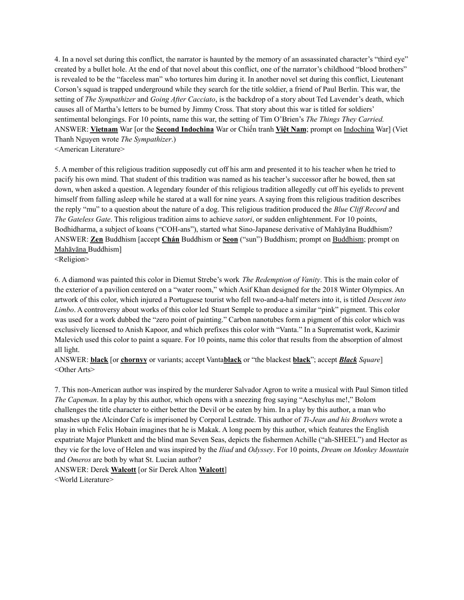4. In a novel set during this conflict, the narrator is haunted by the memory of an assassinated character's "third eye" created by a bullet hole. At the end of that novel about this conflict, one of the narrator's childhood "blood brothers" is revealed to be the "faceless man" who tortures him during it. In another novel set during this conflict, Lieutenant Corson's squad is trapped underground while they search for the title soldier, a friend of Paul Berlin. This war, the setting of *The Sympathizer* and *Going After Cacciato*, is the backdrop of a story about Ted Lavender's death, which causes all of Martha's letters to be burned by Jimmy Cross. That story about this war is titled for soldiers' sentimental belongings. For 10 points, name this war, the setting of Tim O'Brien's *The Things They Carried.* ANSWER: **Vietnam** War [or the **Second Indochina** War or Chiến tranh **Việt Nam**; prompt on Indochina War] (Viet Thanh Nguyen wrote *The Sympathizer*.) <American Literature>

5. A member of this religious tradition supposedly cut off his arm and presented it to his teacher when he tried to pacify his own mind. That student of this tradition was named as his teacher's successor after he bowed, then sat down, when asked a question. A legendary founder of this religious tradition allegedly cut off his eyelids to prevent himself from falling asleep while he stared at a wall for nine years. A saying from this religious tradition describes the reply "mu" to a question about the nature of a dog. This religious tradition produced the *Blue Clif Record* and *The Gateless Gate*. This religious tradition aims to achieve *satori*, or sudden enlightenment. For 10 points, Bodhidharma, a subject of koans ("COH-ans"), started what Sino-Japanese derivative of Mahāyāna Buddhism? ANSWER: **Zen** Buddhism [accept **Chán** Buddhism or **Seon** ("sun") Buddhism; prompt on Buddhism; prompt on Mahāyāna Buddhism]

<Religion>

6. A diamond was painted this color in Diemut Strebe's work *The Redemption of Vanity*. This is the main color of the exterior of a pavilion centered on a "water room," which Asif Khan designed for the 2018 Winter Olympics. An artwork of this color, which injured a Portuguese tourist who fell two-and-a-half meters into it, is titled *Descent into Limbo*. A controversy about works of this color led Stuart Semple to produce a similar "pink" pigment. This color was used for a work dubbed the "zero point of painting." Carbon nanotubes form a pigment of this color which was exclusively licensed to Anish Kapoor, and which prefixes this color with "Vanta." In a Suprematist work, Kazimir Malevich used this color to paint a square. For 10 points, name this color that results from the absorption of almost all light.

ANSWER: **black** [or **chornyy** or variants; accept Vanta**black** or "the blackest **black**"; accept *Black Square*] <Other Arts>

7. This non-American author was inspired by the murderer Salvador Agron to write a musical with Paul Simon titled *The Capeman*. In a play by this author, which opens with a sneezing frog saying "Aeschylus me!," Bolom challenges the title character to either better the Devil or be eaten by him. In a play by this author, a man who smashes up the Alcindor Cafe is imprisoned by Corporal Lestrade. This author of *Ti-Jean and his Brothers* wrote a play in which Felix Hobain imagines that he is Makak. A long poem by this author, which features the English expatriate Major Plunkett and the blind man Seven Seas, depicts the fishermen Achille ("ah-SHEEL") and Hector as they vie for the love of Helen and was inspired by the *Iliad* and *Odyssey*. For 10 points, *Dream on Monkey Mountain* and *Omeros* are both by what St. Lucian author?

ANSWER: Derek **Walcott** [or Sir Derek Alton **Walcott**] <World Literature>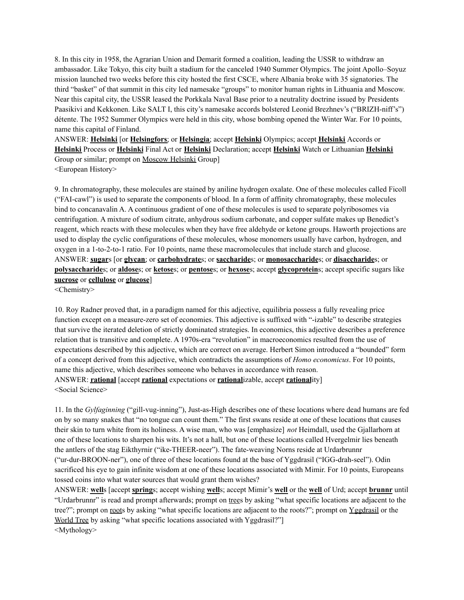8. In this city in 1958, the Agrarian Union and Demarit formed a coalition, leading the USSR to withdraw an ambassador. Like Tokyo, this city built a stadium for the canceled 1940 Summer Olympics. The joint Apollo–Soyuz mission launched two weeks before this city hosted the first CSCE, where Albania broke with 35 signatories. The third "basket" of that summit in this city led namesake "groups" to monitor human rights in Lithuania and Moscow. Near this capital city, the USSR leased the Porkkala Naval Base prior to a neutrality doctrine issued by Presidents Paasikivi and Kekkonen. Like SALT I, this city's namesake accords bolstered Leonid Brezhnev's ("BRIZH-niff's") détente. The 1952 Summer Olympics were held in this city, whose bombing opened the Winter War. For 10 points, name this capital of Finland.

ANSWER: **Helsinki** [or **Helsingfors**; or **Helsingia**; accept **Helsinki** Olympics; accept **Helsinki** Accords or **Helsinki** Process or **Helsinki** Final Act or **Helsinki** Declaration; accept **Helsinki** Watch or Lithuanian **Helsinki** Group or similar; prompt on Moscow Helsinki Group]

<European History>

9. In chromatography, these molecules are stained by aniline hydrogen oxalate. One of these molecules called Ficoll ("FAI-cawl") is used to separate the components of blood. In a form of affinity chromatography, these molecules bind to concanavalin A. A continuous gradient of one of these molecules is used to separate polyribosomes via centrifugation. A mixture of sodium citrate, anhydrous sodium carbonate, and copper sulfate makes up Benedict's reagent, which reacts with these molecules when they have free aldehyde or ketone groups. Haworth projections are used to display the cyclic configurations of these molecules, whose monomers usually have carbon, hydrogen, and oxygen in a 1-to-2-to-1 ratio. For 10 points, name these macromolecules that include starch and glucose. ANSWER: **sugar**s [or **glycan**; or **carbohydrate**s; or **saccharide**s; or **monosaccharide**s; or **disaccharide**s; or **polysaccharide**s; or **aldose**s; or **ketose**s; or **pentose**s; or **hexose**s; accept **glycoprotein**s; accept specific sugars like **sucrose** or **cellulose** or **glucose**]

<Chemistry>

10. Roy Radner proved that, in a paradigm named for this adjective, equilibria possess a fully revealing price function except on a measure-zero set of economies. This adjective is suffixed with "-izable" to describe strategies that survive the iterated deletion of strictly dominated strategies. In economics, this adjective describes a preference relation that is transitive and complete. A 1970s-era "revolution" in macroeconomics resulted from the use of expectations described by this adjective, which are correct on average. Herbert Simon introduced a "bounded" form of a concept derived from this adjective, which contradicts the assumptions of *Homo economicus*. For 10 points, name this adjective, which describes someone who behaves in accordance with reason. ANSWER: **rational** [accept **rational** expectations or **rational**izable, accept **rational**ity] <Social Science>

11. In the *Gylfaginning* ("gill-vug-inning"), Just-as-High describes one of these locations where dead humans are fed on by so many snakes that "no tongue can count them." The first swans reside at one of these locations that causes their skin to turn white from its holiness. A wise man, who was [emphasize] *not* Heimdall, used the Gjallarhorn at one of these locations to sharpen his wits. It's not a hall, but one of these locations called Hvergelmir lies beneath the antlers of the stag Eikthyrnir ("ike-THEER-neer"). The fate-weaving Norns reside at Urdarbrunnr ("ur-dur-BROON-ner"), one of three of these locations found at the base of Yggdrasil ("IGG-drah-seel"). Odin sacrificed his eye to gain infinite wisdom at one of these locations associated with Mimir. For 10 points, Europeans tossed coins into what water sources that would grant them wishes?

ANSWER: **well**s [accept **spring**s; accept wishing **well**s; accept Mimir's **well** or the **well** of Urd; accept **brunnr** until "Urdarbrunnr" is read and prompt afterwards; prompt on trees by asking "what specific locations are adjacent to the tree?"; prompt on roots by asking "what specific locations are adjacent to the roots?"; prompt on Yggdrasil or the World Tree by asking "what specific locations associated with Yggdrasil?" <Mythology>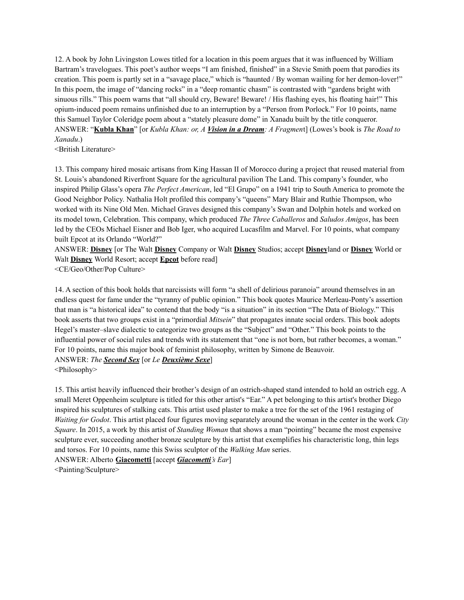12. A book by John Livingston Lowes titled for a location in this poem argues that it was influenced by William Bartram's travelogues. This poet's author weeps "I am finished, finished" in a Stevie Smith poem that parodies its creation. This poem is partly set in a "savage place," which is "haunted / By woman wailing for her demon-lover!" In this poem, the image of "dancing rocks" in a "deep romantic chasm" is contrasted with "gardens bright with sinuous rills." This poem warns that "all should cry, Beware! Beware! / His flashing eyes, his floating hair!" This opium-induced poem remains unfinished due to an interruption by a "Person from Porlock." For 10 points, name this Samuel Taylor Coleridge poem about a "stately pleasure dome" in Xanadu built by the title conqueror. ANSWER: "**Kubla Khan**" [or *Kubla Khan: or, A Vision in a Dream: A Fragmen*t] (Lowes's book is *The Road to Xanadu*.)

<British Literature>

13. This company hired mosaic artisans from King Hassan II of Morocco during a project that reused material from St. Louis's abandoned Riverfront Square for the agricultural pavilion The Land. This company's founder, who inspired Philip Glass's opera *The Perfect American*, led "El Grupo" on a 1941 trip to South America to promote the Good Neighbor Policy. Nathalia Holt profiled this company's "queens" Mary Blair and Ruthie Thompson, who worked with its Nine Old Men. Michael Graves designed this company's Swan and Dolphin hotels and worked on its model town, Celebration. This company, which produced *The Three Caballeros* and *Saludos Amigos*, has been led by the CEOs Michael Eisner and Bob Iger, who acquired Lucasfilm and Marvel. For 10 points, what company built Epcot at its Orlando "World?"

ANSWER: **Disney** [or The Walt **Disney** Company or Walt **Disney** Studios; accept **Disney**land or **Disney** World or Walt **Disney** World Resort; accept **Epcot** before read]

<CE/Geo/Other/Pop Culture>

14. A section of this book holds that narcissists will form "a shell of delirious paranoia" around themselves in an endless quest for fame under the "tyranny of public opinion." This book quotes Maurice Merleau-Ponty's assertion that man is "a historical idea" to contend that the body "is a situation" in its section "The Data of Biology." This book asserts that two groups exist in a "primordial *Mitsein*" that propagates innate social orders. This book adopts Hegel's master–slave dialectic to categorize two groups as the "Subject" and "Other." This book points to the influential power of social rules and trends with its statement that "one is not born, but rather becomes, a woman." For 10 points, name this major book of feminist philosophy, written by Simone de Beauvoir. ANSWER: *The Second Sex* [or *Le Deuxième Sexe*]

<Philosophy>

15. This artist heavily influenced their brother's design of an ostrich-shaped stand intended to hold an ostrich egg. A small Meret Oppenheim sculpture is titled for this other artist's "Ear." A pet belonging to this artist's brother Diego inspired his sculptures of stalking cats. This artist used plaster to make a tree for the set of the 1961 restaging of *Waiting for Godot*. This artist placed four figures moving separately around the woman in the center in the work *City Square*. In 2015, a work by this artist of *Standing Woman* that shows a man "pointing" became the most expensive sculpture ever, succeeding another bronze sculpture by this artist that exemplifies his characteristic long, thin legs and torsos. For 10 points, name this Swiss sculptor of the *Walking Man* series. ANSWER: Alberto **Giacometti** [accept *Giacometti's Ear*]

<Painting/Sculpture>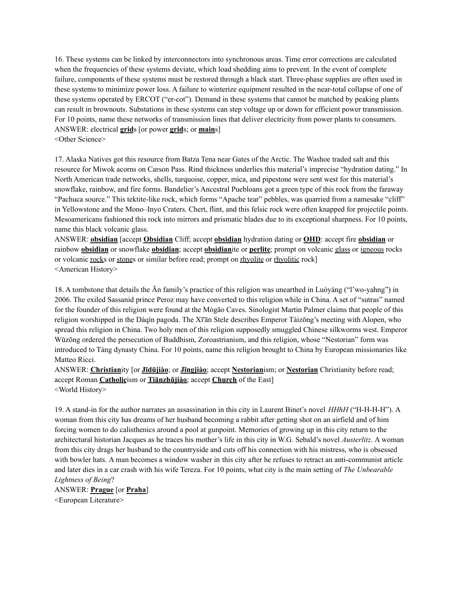16. These systems can be linked by interconnectors into synchronous areas. Time error corrections are calculated when the frequencies of these systems deviate, which load shedding aims to prevent. In the event of complete failure, components of these systems must be restored through a black start. Three-phase supplies are often used in these systems to minimize power loss. A failure to winterize equipment resulted in the near-total collapse of one of these systems operated by ERCOT ("er-cot"). Demand in these systems that cannot be matched by peaking plants can result in brownouts. Substations in these systems can step voltage up or down for efficient power transmission. For 10 points, name these networks of transmission lines that deliver electricity from power plants to consumers. ANSWER: electrical **grid**s [or power **grid**s; or **main**s] <Other Science>

17. Alaska Natives got this resource from Batza Tena near Gates of the Arctic. The Washoe traded salt and this resource for Miwok acorns on Carson Pass. Rind thickness underlies this material's imprecise "hydration dating." In North American trade networks, shells, turquoise, copper, mica, and pipestone were sent west for this material's snowflake, rainbow, and fire forms. Bandelier's Ancestral Puebloans got a green type of this rock from the faraway "Pachuca source." This tektite-like rock, which forms "Apache tear" pebbles, was quarried from a namesake "cliff" in Yellowstone and the Mono–Inyo Craters. Chert, flint, and this felsic rock were often knapped for projectile points. Mesoamericans fashioned this rock into mirrors and prismatic blades due to its exceptional sharpness. For 10 points, name this black volcanic glass.

ANSWER: **obsidian** [accept **Obsidian** Cliff; accept **obsidian** hydration dating or **OHD**: accept fire **obsidian** or rainbow **obsidian** or snowflake **obsidian**; accept **obsidian**ite or **perlite**; prompt on volcanic glass or igneous rocks or volcanic rocks or stones or similar before read; prompt on rhyolite or rhyolitic rock] <American History>

18. A tombstone that details the Ān family's practice of this religion was unearthed in Luòyáng ("l'wo-yahng") in 2006. The exiled Sassanid prince Peroz may have converted to this religion while in China. A set of "sutras" named for the founder of this religion were found at the Mògāo Caves. Sinologist Martin Palmer claims that people of this religion worshipped in the Dàqín pagoda. The Xī'ān Stele describes Emperor Tàizōng's meeting with Alopen, who spread this religion in China. Two holy men of this religion supposedly smuggled Chinese silkworms west. Emperor Wǔzōng ordered the persecution of Buddhism, Zoroastrianism, and this religion, whose "Nestorian" form was introduced to Táng dynasty China. For 10 points, name this religion brought to China by European missionaries like Matteo Ricci.

ANSWER: **Christian**ity [or **Jīdūjiào**; or **Jǐngjiào**; accept **Nestorian**ism; or **Nestorian** Christianity before read; accept Roman **Catholic**ism or **Tiānzhǔjiào**; accept **Church** of the East] <World History>

19. A stand-in for the author narrates an assassination in this city in Laurent Binet's novel *HHhH* ("H-H-H-H"). A woman from this city has dreams of her husband becoming a rabbit after getting shot on an airfield and of him forcing women to do calisthenics around a pool at gunpoint. Memories of growing up in this city return to the architectural historian Jacques as he traces his mother's life in this city in W.G. Sebald's novel *Austerlitz*. A woman from this city drags her husband to the countryside and cuts off his connection with his mistress, who is obsessed with bowler hats. A man becomes a window washer in this city after he refuses to retract an anti-communist article and later dies in a car crash with his wife Tereza. For 10 points, what city is the main setting of *The Unbearable Lightness of Being*?

ANSWER: **Prague** [or **Praha**] <European Literature>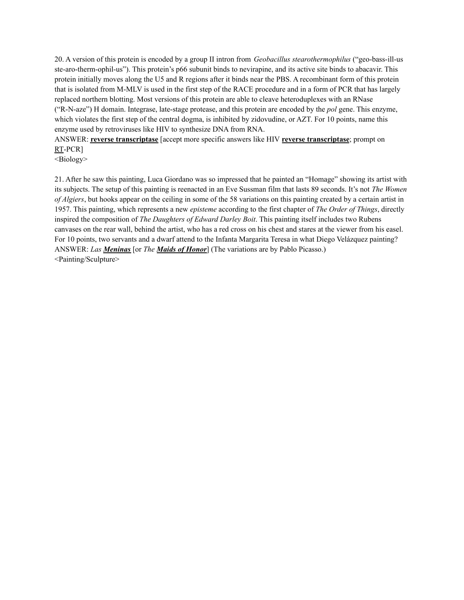20. A version of this protein is encoded by a group II intron from *Geobacillus stearothermophilus* ("geo-bass-ill-us ste-aro-therm-ophil-us"). This protein's p66 subunit binds to nevirapine, and its active site binds to abacavir. This protein initially moves along the U5 and R regions after it binds near the PBS. A recombinant form of this protein that is isolated from M-MLV is used in the first step of the RACE procedure and in a form of PCR that has largely replaced northern blotting. Most versions of this protein are able to cleave heteroduplexes with an RNase ("R-N-aze") H domain. Integrase, late-stage protease, and this protein are encoded by the *pol* gene. This enzyme, which violates the first step of the central dogma, is inhibited by zidovudine, or AZT. For 10 points, name this enzyme used by retroviruses like HIV to synthesize DNA from RNA.

ANSWER: **reverse transcriptase** [accept more specific answers like HIV **reverse transcriptase**; prompt on RT-PCR]

<Biology>

21. After he saw this painting, Luca Giordano was so impressed that he painted an "Homage" showing its artist with its subjects. The setup of this painting is reenacted in an Eve Sussman film that lasts 89 seconds. It's not *The Women of Algiers*, but hooks appear on the ceiling in some of the 58 variations on this painting created by a certain artist in 1957. This painting, which represents a new *episteme* according to the first chapter of *The Order of Things*, directly inspired the composition of *The Daughters of Edward Darley Boit*. This painting itself includes two Rubens canvases on the rear wall, behind the artist, who has a red cross on his chest and stares at the viewer from his easel. For 10 points, two servants and a dwarf attend to the Infanta Margarita Teresa in what Diego Velázquez painting? ANSWER: *Las Meninas* [or *The Maids of Honor*] (The variations are by Pablo Picasso.) <Painting/Sculpture>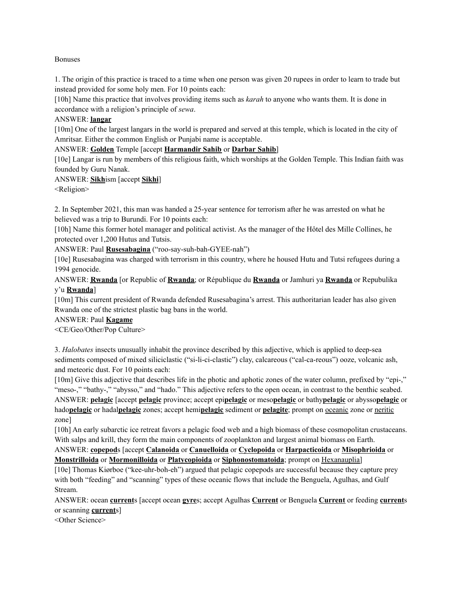### Bonuses

1. The origin of this practice is traced to a time when one person was given 20 rupees in order to learn to trade but instead provided for some holy men. For 10 points each:

[10h] Name this practice that involves providing items such as *karah* to anyone who wants them. It is done in accordance with a religion's principle of *sewa*.

### ANSWER: **langar**

[10m] One of the largest langars in the world is prepared and served at this temple, which is located in the city of Amritsar. Either the common English or Punjabi name is acceptable.

### ANSWER: **Golden** Temple [accept **Harmandir Sahib** or **Darbar Sahib**]

[10e] Langar is run by members of this religious faith, which worships at the Golden Temple. This Indian faith was founded by Guru Nanak.

### ANSWER: **Sikh**ism [accept **Sikhi**]

<Religion>

2. In September 2021, this man was handed a 25-year sentence for terrorism after he was arrested on what he believed was a trip to Burundi. For 10 points each:

[10h] Name this former hotel manager and political activist. As the manager of the Hôtel des Mille Collines, he protected over 1,200 Hutus and Tutsis.

ANSWER: Paul **Rusesabagina** ("roo-say-suh-bah-GYEE-nah")

[10e] Rusesabagina was charged with terrorism in this country, where he housed Hutu and Tutsi refugees during a 1994 genocide.

ANSWER: **Rwanda** [or Republic of **Rwanda**; or République du **Rwanda** or Jamhuri ya **Rwanda** or Repubulika y'u **Rwanda**]

[10m] This current president of Rwanda defended Rusesabagina's arrest. This authoritarian leader has also given Rwanda one of the strictest plastic bag bans in the world.

### ANSWER: Paul **Kagame**

<CE/Geo/Other/Pop Culture>

3. *Halobates* insects unusually inhabit the province described by this adjective, which is applied to deep-sea sediments composed of mixed siliciclastic ("si-li-ci-clastic") clay, calcareous ("cal-ca-reous") ooze, volcanic ash, and meteoric dust. For 10 points each:

[10m] Give this adjective that describes life in the photic and aphotic zones of the water column, prefixed by "epi-," "meso-," "bathy-," "abysso," and "hado." This adjective refers to the open ocean, in contrast to the benthic seabed. ANSWER: **pelagic** [accept **pelagic** province; accept epi**pelagic** or meso**pelagic** or bathy**pelagic** or abysso**pelagic** or hado**pelagic** or hadal**pelagic** zones; accept hemi**pelagic** sediment or **pelagite**; prompt on oceanic zone or neritic zone]

[10h] An early subarctic ice retreat favors a pelagic food web and a high biomass of these cosmopolitan crustaceans. With salps and krill, they form the main components of zooplankton and largest animal biomass on Earth.

ANSWER: **copepod**s [accept **Calanoida** or **Canuelloida** or **Cyclopoida** or **Harpacticoida** or **Misophrioida** or **Monstrilloida** or **Mormonilloida** or **Platycopioida** or **Siphonostomatoida**; prompt on Hexanauplia]

[10e] Thomas Kiørboe ("kee-uhr-boh-eh") argued that pelagic copepods are successful because they capture prey with both "feeding" and "scanning" types of these oceanic flows that include the Benguela, Agulhas, and Gulf Stream.

ANSWER: ocean **current**s [accept ocean **gyre**s; accept Agulhas **Current** or Benguela **Current** or feeding **current**s or scanning **current**s]

<Other Science>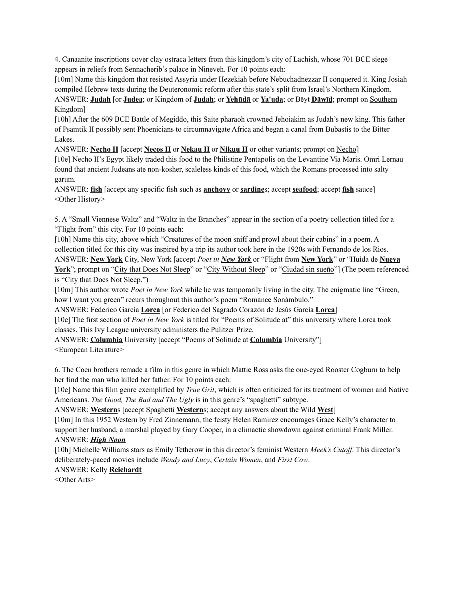4. Canaanite inscriptions cover clay ostraca letters from this kingdom's city of Lachish, whose 701 BCE siege appears in reliefs from Sennacherib's palace in Nineveh. For 10 points each:

[10m] Name this kingdom that resisted Assyria under Hezekiah before Nebuchadnezzar II conquered it. King Josiah compiled Hebrew texts during the Deuteronomic reform after this state's split from Israel's Northern Kingdom. ANSWER: **Judah** [or **Judea**; or Kingdom of **Judah**; or **Yehūdā** or **Ya'uda**; or Bēyt **Dāwīḏ**; prompt on Southern Kingdom]

[10h] After the 609 BCE Battle of Megiddo, this Saite pharaoh crowned Jehoiakim as Judah's new king. This father of Psamtik II possibly sent Phoenicians to circumnavigate Africa and began a canal from Bubastis to the Bitter Lakes.

ANSWER: **Necho II** [accept **Necos II** or **Nekau II** or **Nikuu II** or other variants; prompt on Necho]

[10e] Necho II's Egypt likely traded this food to the Philistine Pentapolis on the Levantine Via Maris. Omri Lernau found that ancient Judeans ate non-kosher, scaleless kinds of this food, which the Romans processed into salty garum.

ANSWER: **fish** [accept any specific fish such as **anchovy** or **sardine**s; accept **seafood**; accept **fish** sauce] <Other History>

5. A "Small Viennese Waltz" and "Waltz in the Branches" appear in the section of a poetry collection titled for a "Flight from" this city. For 10 points each:

[10h] Name this city, above which "Creatures of the moon sniff and prowl about their cabins" in a poem. A collection titled for this city was inspired by a trip its author took here in the 1920s with Fernando de los Rios. ANSWER: **New York** City, New York [accept *Poet in New York* or "Flight from **New York**" or "Huída de **Nueva York**"; prompt on "City that Does Not Sleep" or "City Without Sleep" or "Ciudad sin sueño"] (The poem referenced is "City that Does Not Sleep.")

[10m] This author wrote *Poet in New York* while he was temporarily living in the city. The enigmatic line "Green, how I want you green" recurs throughout this author's poem "Romance Sonámbulo."

ANSWER: Federico García **Lorca** [or Federico del Sagrado Corazón de Jesús García **Lorca**]

[10e] The first section of *Poet in New York* is titled for "Poems of Solitude at" this university where Lorca took classes. This Ivy League university administers the Pulitzer Prize.

ANSWER: **Columbia** University [accept "Poems of Solitude at **Columbia** University"] <European Literature>

6. The Coen brothers remade a film in this genre in which Mattie Ross asks the one-eyed Rooster Cogburn to help her find the man who killed her father. For 10 points each:

[10e] Name this film genre exemplified by *True Grit*, which is often criticized for its treatment of women and Native Americans. *The Good, The Bad and The Ugly* is in this genre's "spaghetti" subtype.

ANSWER: **Western**s [accept Spaghetti **Western**s; accept any answers about the Wild **West**]

[10m] In this 1952 Western by Fred Zinnemann, the feisty Helen Ramirez encourages Grace Kelly's character to support her husband, a marshal played by Gary Cooper, in a climactic showdown against criminal Frank Miller. ANSWER: *High Noon*

[10h] Michelle Williams stars as Emily Tetherow in this director's feminist Western *Meek's Cutoff*. This director's deliberately-paced movies include *Wendy and Lucy*, *Certain Women*, and *First Cow*.

# ANSWER: Kelly **Reichardt**

<Other Arts>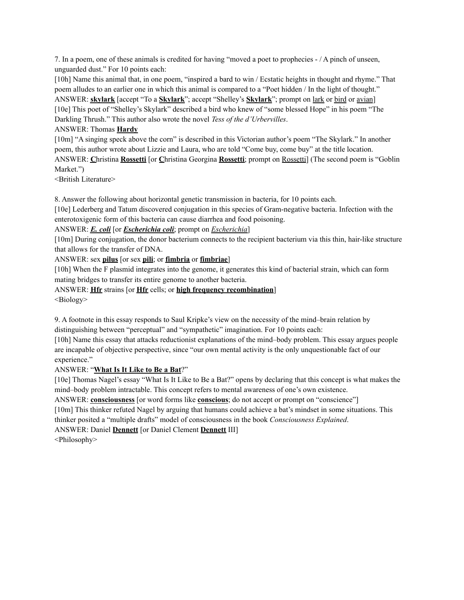7. In a poem, one of these animals is credited for having "moved a poet to prophecies - / A pinch of unseen, unguarded dust." For 10 points each:

[10h] Name this animal that, in one poem, "inspired a bard to win / Ecstatic heights in thought and rhyme." That poem alludes to an earlier one in which this animal is compared to a "Poet hidden / In the light of thought." ANSWER: **skylark** [accept "To a **Skylark**"; accept "Shelley's **Skylark**"; prompt on lark or bird or avian] [10e] This poet of "Shelley's Skylark" described a bird who knew of "some blessed Hope" in his poem "The Darkling Thrush." This author also wrote the novel *Tess of the d'Urbervilles*.

# ANSWER: Thomas **Hardy**

[10m] "A singing speck above the corn" is described in this Victorian author's poem "The Skylark." In another poem, this author wrote about Lizzie and Laura, who are told "Come buy, come buy" at the title location. ANSWER: **C**hristina **Rossetti** [or **C**hristina Georgina **Rossetti**; prompt on Rossetti] (The second poem is "Goblin Market.")

<British Literature>

8. Answer the following about horizontal genetic transmission in bacteria, for 10 points each.

[10e] Lederberg and Tatum discovered conjugation in this species of Gram-negative bacteria. Infection with the enterotoxigenic form of this bacteria can cause diarrhea and food poisoning.

# ANSWER: *E. coli* [or *Escherichia coli*; prompt on *Escherichia*]

[10m] During conjugation, the donor bacterium connects to the recipient bacterium via this thin, hair-like structure that allows for the transfer of DNA.

# ANSWER: sex **pilus** [or sex **pili**; or **fimbria** or **fimbriae**]

[10h] When the F plasmid integrates into the genome, it generates this kind of bacterial strain, which can form mating bridges to transfer its entire genome to another bacteria.

ANSWER: **Hfr** strains [or **Hfr** cells; or **high frequency recombination**] <Biology>

9. A footnote in this essay responds to Saul Kripke's view on the necessity of the mind–brain relation by distinguishing between "perceptual" and "sympathetic" imagination. For 10 points each:

[10h] Name this essay that attacks reductionist explanations of the mind–body problem. This essay argues people are incapable of objective perspective, since "our own mental activity is the only unquestionable fact of our experience."

# ANSWER: "**What Is It Like to Be a Bat**?"

[10e] Thomas Nagel's essay "What Is It Like to Be a Bat?" opens by declaring that this concept is what makes the mind–body problem intractable. This concept refers to mental awareness of one's own existence.

ANSWER: **consciousness** [or word forms like **conscious**; do not accept or prompt on "conscience"] [10m] This thinker refuted Nagel by arguing that humans could achieve a bat's mindset in some situations. This thinker posited a "multiple drafts" model of consciousness in the book *Consciousness Explained*.

ANSWER: Daniel **Dennett** [or Daniel Clement **Dennett** III]

<Philosophy>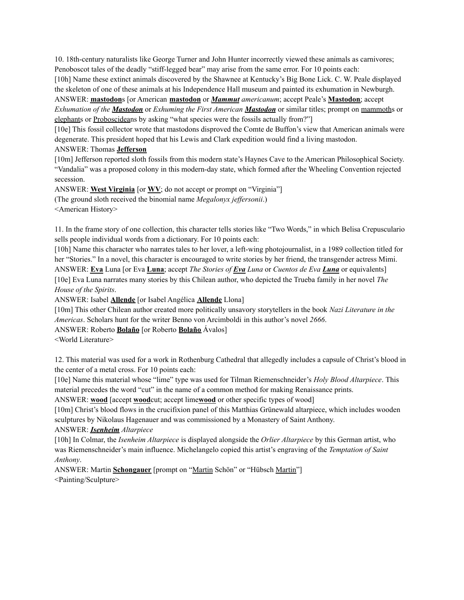10. 18th-century naturalists like George Turner and John Hunter incorrectly viewed these animals as carnivores; Penoboscot tales of the deadly "stiff-legged bear" may arise from the same error. For 10 points each:

[10h] Name these extinct animals discovered by the Shawnee at Kentucky's Big Bone Lick. C. W. Peale displayed the skeleton of one of these animals at his Independence Hall museum and painted its exhumation in Newburgh.

ANSWER: **mastodon**s [or American **mastodon** or *Mammut americanum*; accept Peale's **Mastodon**; accept *Exhumation of the Mastodon* or *Exhuming the First American Mastodon* or similar titles; prompt on mammoths or elephants or Proboscideans by asking "what species were the fossils actually from?"]

[10e] This fossil collector wrote that mastodons disproved the Comte de Buffon's view that American animals were degenerate. This president hoped that his Lewis and Clark expedition would find a living mastodon.

ANSWER: Thomas **Jefferson**

[10m] Jefferson reported sloth fossils from this modern state's Haynes Cave to the American Philosophical Society. "Vandalia" was a proposed colony in this modern-day state, which formed after the Wheeling Convention rejected secession.

ANSWER: **West Virginia** [or **WV**; do not accept or prompt on "Virginia"] (The ground sloth received the binomial name *Megalonyx jeffersonii*.)

<American History>

11. In the frame story of one collection, this character tells stories like "Two Words," in which Belisa Crepusculario sells people individual words from a dictionary. For 10 points each:

[10h] Name this character who narrates tales to her lover, a left-wing photojournalist, in a 1989 collection titled for her "Stories." In a novel, this character is encouraged to write stories by her friend, the transgender actress Mimi. ANSWER: **Eva** Luna [or Eva **Luna**; accept *The Stories of Eva Luna* or *Cuentos de Eva Luna* or equivalents] [10e] Eva Luna narrates many stories by this Chilean author, who depicted the Trueba family in her novel *The House of the Spirits*.

ANSWER: Isabel **Allende** [or Isabel Angélica **Allende** Llona]

[10m] This other Chilean author created more politically unsavory storytellers in the book *Nazi Literature in the Americas*. Scholars hunt for the writer Benno von Arcimboldi in this author's novel *2666*.

ANSWER: Roberto **Bolaño** [or Roberto **Bolaño** Ávalos]

<World Literature>

12. This material was used for a work in Rothenburg Cathedral that allegedly includes a capsule of Christ's blood in the center of a metal cross. For 10 points each:

[10e] Name this material whose "lime" type was used for Tilman Riemenschneider's *Holy Blood Altarpiece*. This material precedes the word "cut" in the name of a common method for making Renaissance prints.

ANSWER: **wood** [accept **wood**cut; accept lime**wood** or other specific types of wood]

[10m] Christ's blood flows in the crucifixion panel of this Matthias Grünewald altarpiece, which includes wooden sculptures by Nikolaus Hagenauer and was commissioned by a Monastery of Saint Anthony.

# ANSWER: *Isenheim Altarpiece*

[10h] In Colmar, the *Isenheim Altarpiece* is displayed alongside the *Orlier Altarpiece* by this German artist, who was Riemenschneider's main influence. Michelangelo copied this artist's engraving of the *Temptation of Saint Anthony*.

ANSWER: Martin **Schongauer** [prompt on "Martin Schön" or "Hübsch Martin"] <Painting/Sculpture>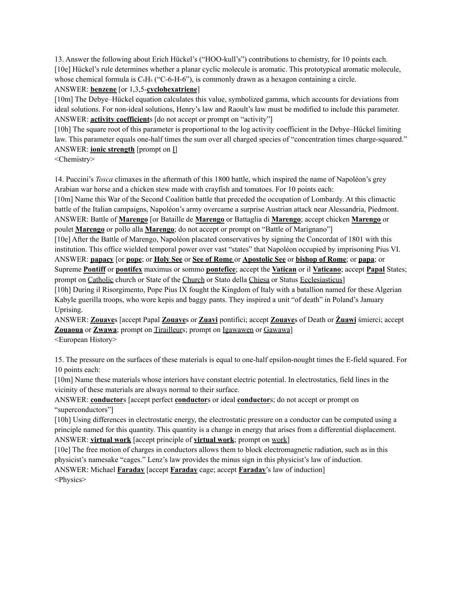13. Answer the following about Erich Hückel's ("HOO-kull's") contributions to chemistry, for 10 points each. [10e] Hückel's rule determines whether a planar cyclic molecule is aromatic. This prototypical aromatic molecule, whose chemical formula is C<sub>6</sub>H<sub>6</sub> ("C-6-H-6"), is commonly drawn as a hexagon containing a circle. ANSWER: **benzene** [or 1,3,5-**cyclohexatriene**]

[10m] The Debye–Hückel equation calculates this value, symbolized gamma, which accounts for deviations from ideal solutions. For non-ideal solutions, Henry's law and Raoult's law must be modified to include this parameter. ANSWER: **activity coefficient**s [do not accept or prompt on "activity"]

[10h] The square root of this parameter is proportional to the log activity coefficient in the Debye–Hückel limiting law. This parameter equals one-half times the sum over all charged species of "concentration times charge-squared." ANSWER: **ionic strength** [prompt on I]

<Chemistry>

14. Puccini's *Tosca* climaxes in the aftermath of this 1800 battle, which inspired the name of Napoléon's grey Arabian war horse and a chicken stew made with crayfish and tomatoes. For 10 points each:

[10m] Name this War of the Second Coalition battle that preceded the occupation of Lombardy. At this climactic battle of the Italian campaigns, Napoléon's army overcame a surprise Austrian attack near Alessandria, Piedmont. ANSWER: Battle of **Marengo** [or Bataille de **Marengo** or Battaglia di **Marengo**; accept chicken **Marengo** or poulet **Marengo** or pollo alla **Marengo**; do not accept or prompt on "Battle of Marignano"]

[10e] After the Battle of Marengo, Napoléon placated conservatives by signing the Concordat of 1801 with this institution. This office wielded temporal power over vast "states" that Napoléon occupied by imprisoning Pius VI. ANSWER: **papacy** [or **pope**; or **Holy See** or **See of Rome** or **Apostolic See** or **bishop of Rome**; or **papa**; or Supreme **Pontiff** or **pontifex** maximus or sommo **pontefice**; accept the **Vatican** or il **Vaticano**; accept **Papal** States;

prompt on Catholic church or State of the Church or Stato della Chiesa or Status Ecclesiasticus] [10h] During il Risorgimento, Pope Pius IX fought the Kingdom of Italy with a batallion named for these Algerian Kabyle guerilla troops, who wore kepis and baggy pants. They inspired a unit "of death" in Poland's January Uprising.

ANSWER: **Zouave**s [accept Papal **Zouave**s or **Zuavi** pontifici; accept **Zouave**s of Death or **Żuawi** śmierci; accept **Zouaoua** or **Zwawa**; prompt on Tirailleurs; prompt on **Igawawen** or **Gawawa**] <European History>

15. The pressure on the surfaces of these materials is equal to one-half epsilon-nought times the E-field squared. For 10 points each:

[10m] Name these materials whose interiors have constant electric potential. In electrostatics, field lines in the vicinity of these materials are always normal to their surface.

ANSWER: **conductors** [accept perfect **conductors** or ideal **conductors**; do not accept or prompt on "superconductors"]

[10h] Using differences in electrostatic energy, the electrostatic pressure on a conductor can be computed using a principle named for this quantity. This quantity is a change in energy that arises from a differential displacement. ANSWER: **virtual work** [accept principle of **virtual work**; prompt on work]

[10e] The free motion of charges in conductors allows them to block electromagnetic radiation, such as in this physicist's namesake "cages." Lenz's law provides the minus sign in this physicist's law of induction.

ANSWER: Michael **Faraday** [accept **Faraday** cage; accept **Faraday**'s law of induction] <Physics>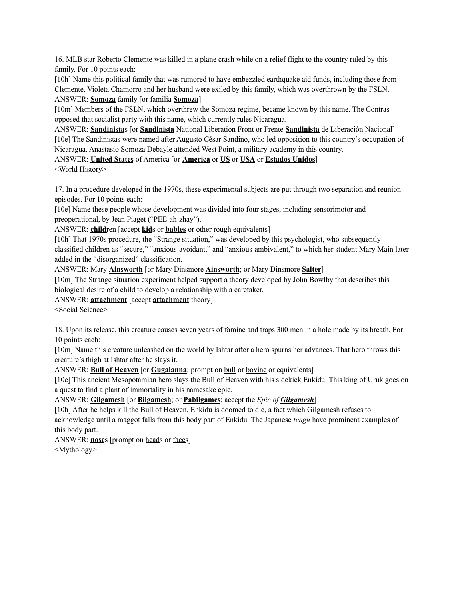16. MLB star Roberto Clemente was killed in a plane crash while on a relief flight to the country ruled by this family. For 10 points each:

[10h] Name this political family that was rumored to have embezzled earthquake aid funds, including those from Clemente. Violeta Chamorro and her husband were exiled by this family, which was overthrown by the FSLN. ANSWER: **Somoza** family [or familia **Somoza**]

[10m] Members of the FSLN, which overthrew the Somoza regime, became known by this name. The Contras opposed that socialist party with this name, which currently rules Nicaragua.

ANSWER: **Sandinista**s [or **Sandinista** National Liberation Front or Frente **Sandinista** de Liberación Nacional] [10e] The Sandinistas were named after Augusto César Sandino, who led opposition to this country's occupation of Nicaragua. Anastasio Somoza Debayle attended West Point, a military academy in this country.

ANSWER: **United States** of America [or **America** or **US** or **USA** or **Estados Unidos**]

<World History>

17. In a procedure developed in the 1970s, these experimental subjects are put through two separation and reunion episodes. For 10 points each:

[10e] Name these people whose development was divided into four stages, including sensorimotor and preoperational, by Jean Piaget ("PEE-ah-zhay").

ANSWER: **child**ren [accept **kid**s or **babies** or other rough equivalents]

[10h] That 1970s procedure, the "Strange situation," was developed by this psychologist, who subsequently classified children as "secure," "anxious-avoidant," and "anxious-ambivalent," to which her student Mary Main later added in the "disorganized" classification.

ANSWER: Mary **Ainsworth** [or Mary Dinsmore **Ainsworth**; or Mary Dinsmore **Salter**]

[10m] The Strange situation experiment helped support a theory developed by John Bowlby that describes this biological desire of a child to develop a relationship with a caretaker.

ANSWER: **attachment** [accept **attachment** theory]

<Social Science>

18. Upon its release, this creature causes seven years of famine and traps 300 men in a hole made by its breath. For 10 points each:

[10m] Name this creature unleashed on the world by Ishtar after a hero spurns her advances. That hero throws this creature's thigh at Ishtar after he slays it.

ANSWER: **Bull of Heaven** [or **Gugalanna**; prompt on bull or bovine or equivalents]

[10e] This ancient Mesopotamian hero slays the Bull of Heaven with his sidekick Enkidu. This king of Uruk goes on a quest to find a plant of immortality in his namesake epic.

ANSWER: **Gilgamesh** [or **Bilgamesh**; or **Pabilgames**; accept the *Epic of Gilgamesh*]

[10h] After he helps kill the Bull of Heaven, Enkidu is doomed to die, a fact which Gilgamesh refuses to acknowledge until a maggot falls from this body part of Enkidu. The Japanese *tengu* have prominent examples of this body part.

ANSWER: **nose**s [prompt on heads or faces]

<Mythology>